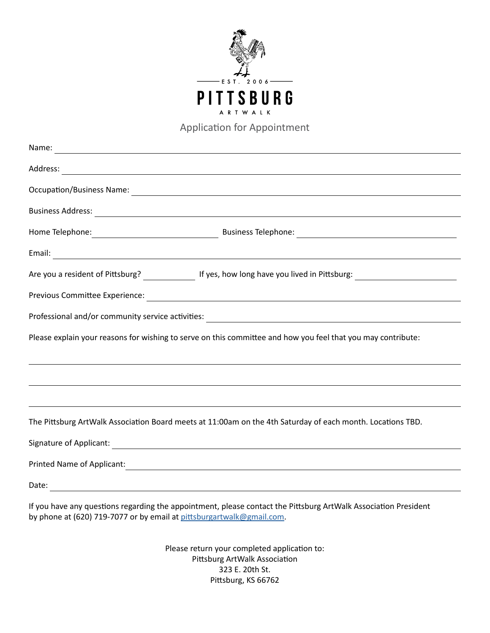

Application for Appointment

| Name:<br><u> 1989 - Johann Barn, amerikansk politiker (d. 1989)</u> |                                                                                                                        |
|---------------------------------------------------------------------|------------------------------------------------------------------------------------------------------------------------|
|                                                                     |                                                                                                                        |
|                                                                     |                                                                                                                        |
|                                                                     |                                                                                                                        |
|                                                                     |                                                                                                                        |
|                                                                     |                                                                                                                        |
|                                                                     | Are you a resident of Pittsburg? _______________ If yes, how long have you lived in Pittsburg: _______________________ |
|                                                                     |                                                                                                                        |
|                                                                     | Professional and/or community service activities: ______________________________                                       |
|                                                                     | Please explain your reasons for wishing to serve on this committee and how you feel that you may contribute:           |
|                                                                     |                                                                                                                        |
|                                                                     | ,我们也不会有什么。""我们的人,我们也不会有什么?""我们的人,我们也不会有什么?""我们的人,我们也不会有什么?""我们的人,我们也不会有什么?""我们的人                                       |
|                                                                     | The Pittsburg ArtWalk Association Board meets at 11:00am on the 4th Saturday of each month. Locations TBD.             |
|                                                                     |                                                                                                                        |
|                                                                     |                                                                                                                        |
| Date:                                                               |                                                                                                                        |

If you have any questions regarding the appointment, please contact the Pittsburg ArtWalk Association President by phone at (620) 719-7077 or by email at [pittsburgartwalk@gmail.com](mailto:pittsburgartwalk%40gmail.com?subject=ArtWalk%20Board%20Application).

> Please return your completed application to: Pittsburg ArtWalk Association 323 E. 20th St. Pittsburg, KS 66762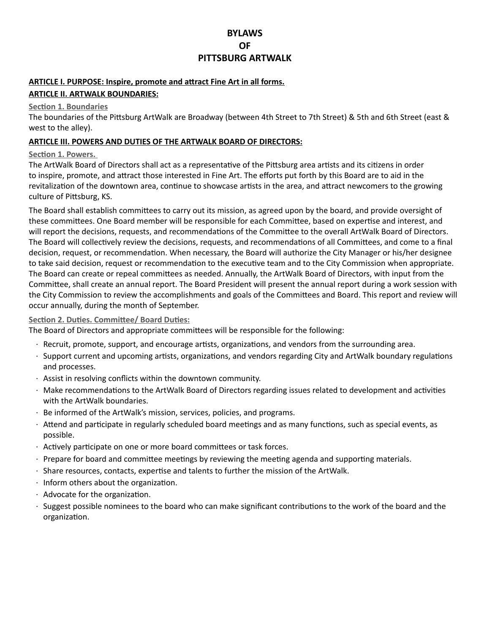# **BYLAWS OF PITTSBURG ARTWALK**

# **ARTICLE I. PURPOSE: Inspire, promote and attract Fine Art in all forms. ARTICLE II. ARTWALK BOUNDARIES:**

#### **Section 1. Boundaries**

The boundaries of the Pittsburg ArtWalk are Broadway (between 4th Street to 7th Street) & 5th and 6th Street (east & west to the alley).

#### **ARTICLE III. POWERS AND DUTIES OF THE ARTWALK BOARD OF DIRECTORS:**

#### **Section 1. Powers.**

The ArtWalk Board of Directors shall act as a representative of the Pittsburg area artists and its citizens in order to inspire, promote, and attract those interested in Fine Art. The efforts put forth by this Board are to aid in the revitalization of the downtown area, continue to showcase artists in the area, and attract newcomers to the growing culture of Pittsburg, KS.

The Board shall establish committees to carry out its mission, as agreed upon by the board, and provide oversight of these committees. One Board member will be responsible for each Committee, based on expertise and interest, and will report the decisions, requests, and recommendations of the Committee to the overall ArtWalk Board of Directors. The Board will collectively review the decisions, requests, and recommendations of all Committees, and come to a final decision, request, or recommendation. When necessary, the Board will authorize the City Manager or his/her designee to take said decision, request or recommendation to the executive team and to the City Commission when appropriate. The Board can create or repeal committees as needed. Annually, the ArtWalk Board of Directors, with input from the Committee, shall create an annual report. The Board President will present the annual report during a work session with the City Commission to review the accomplishments and goals of the Committees and Board. This report and review will occur annually, during the month of September.

#### **Section 2. Duties. Committee/ Board Duties:**

The Board of Directors and appropriate committees will be responsible for the following:

- · Recruit, promote, support, and encourage artists, organizations, and vendors from the surrounding area.
- · Support current and upcoming artists, organizations, and vendors regarding City and ArtWalk boundary regulations and processes.
- · Assist in resolving conflicts within the downtown community.
- · Make recommendations to the ArtWalk Board of Directors regarding issues related to development and activities with the ArtWalk boundaries.
- · Be informed of the ArtWalk's mission, services, policies, and programs.
- · Attend and participate in regularly scheduled board meetings and as many functions, such as special events, as possible.
- · Actively participate on one or more board committees or task forces.
- · Prepare for board and committee meetings by reviewing the meeting agenda and supporting materials.
- · Share resources, contacts, expertise and talents to further the mission of the ArtWalk.
- · Inform others about the organization.
- · Advocate for the organization.
- · Suggest possible nominees to the board who can make significant contributions to the work of the board and the organization.